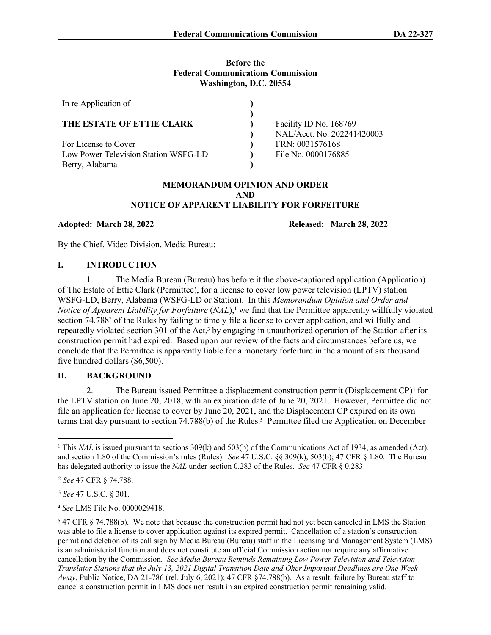## **Before the Federal Communications Commission Washington, D.C. 20554**

| In re Application of                 |                            |
|--------------------------------------|----------------------------|
|                                      |                            |
| THE ESTATE OF ETTIE CLARK            | Facility ID No. 168769     |
|                                      | NAL/Acct. No. 202241420003 |
| For License to Cover                 | FRN: 0031576168            |
| Low Power Television Station WSFG-LD | File No. 0000176885        |
| Berry, Alabama                       |                            |

## **MEMORANDUM OPINION AND ORDER AND NOTICE OF APPARENT LIABILITY FOR FORFEITURE**

**Adopted: March 28, 2022 Released: March 28, 2022**

By the Chief, Video Division, Media Bureau:

# **I. INTRODUCTION**

1. The Media Bureau (Bureau) has before it the above-captioned application (Application) of The Estate of Ettie Clark (Permittee), for a license to cover low power television (LPTV) station WSFG-LD, Berry, Alabama (WSFG-LD or Station). In this *Memorandum Opinion and Order and Notice of Apparent Liability for Forfeiture (<i>NAL*),<sup>1</sup> we find that the Permittee apparently willfully violated section 74.788<sup>2</sup> of the Rules by failing to timely file a license to cover application, and willfully and repeatedly violated section 301 of the Act,<sup>3</sup> by engaging in unauthorized operation of the Station after its construction permit had expired. Based upon our review of the facts and circumstances before us, we conclude that the Permittee is apparently liable for a monetary forfeiture in the amount of six thousand five hundred dollars (\$6,500).

# **II. BACKGROUND**

2. The Bureau issued Permittee a displacement construction permit (Displacement CP)<sup>4</sup> for the LPTV station on June 20, 2018, with an expiration date of June 20, 2021. However, Permittee did not file an application for license to cover by June 20, 2021, and the Displacement CP expired on its own terms that day pursuant to section 74.788(b) of the Rules.<sup>5</sup> Permittee filed the Application on December

<sup>&</sup>lt;sup>1</sup> This *NAL* is issued pursuant to sections 309(k) and 503(b) of the Communications Act of 1934, as amended (Act), and section 1.80 of the Commission's rules (Rules). *See* 47 U.S.C. §§ 309(k), 503(b); 47 CFR § 1.80. The Bureau has delegated authority to issue the *NAL* under section 0.283 of the Rules. *See* 47 CFR § 0.283.

<sup>2</sup> *See* 47 CFR § 74.788.

<sup>3</sup> *See* 47 U.S.C. § 301.

<sup>4</sup> *See* LMS File No. 0000029418.

<sup>&</sup>lt;sup>5</sup> 47 CFR § 74.788(b). We note that because the construction permit had not yet been canceled in LMS the Station was able to file a license to cover application against its expired permit. Cancellation of a station's construction permit and deletion of its call sign by Media Bureau (Bureau) staff in the Licensing and Management System (LMS) is an administerial function and does not constitute an official Commission action nor require any affirmative cancellation by the Commission. *See Media Bureau Reminds Remaining Low Power Television and Television Translator Stations that the July 13, 2021 Digital Transition Date and Oher Important Deadlines are One Week Away*, Public Notice, DA 21-786 (rel. July 6, 2021); 47 CFR §74.788(b). As a result, failure by Bureau staff to cancel a construction permit in LMS does not result in an expired construction permit remaining valid.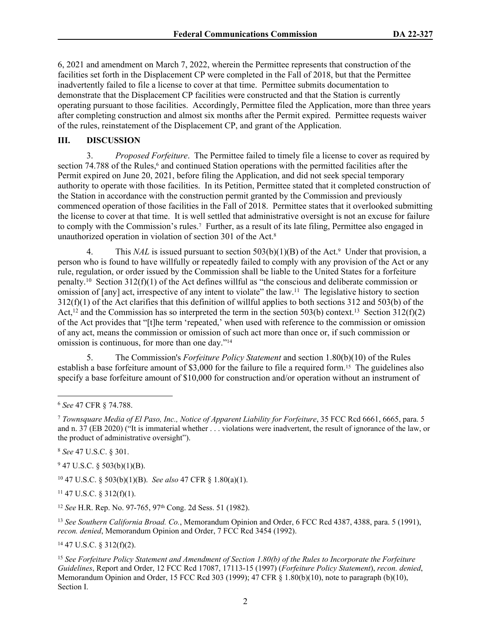6, 2021 and amendment on March 7, 2022, wherein the Permittee represents that construction of the facilities set forth in the Displacement CP were completed in the Fall of 2018, but that the Permittee inadvertently failed to file a license to cover at that time. Permittee submits documentation to demonstrate that the Displacement CP facilities were constructed and that the Station is currently operating pursuant to those facilities. Accordingly, Permittee filed the Application, more than three years after completing construction and almost six months after the Permit expired. Permittee requests waiver of the rules, reinstatement of the Displacement CP, and grant of the Application.

#### **III. DISCUSSION**

3. *Proposed Forfeiture*. The Permittee failed to timely file a license to cover as required by section 74.788 of the Rules,<sup>6</sup> and continued Station operations with the permitted facilities after the Permit expired on June 20, 2021, before filing the Application, and did not seek special temporary authority to operate with those facilities. In its Petition, Permittee stated that it completed construction of the Station in accordance with the construction permit granted by the Commission and previously commenced operation of those facilities in the Fall of 2018. Permittee states that it overlooked submitting the license to cover at that time. It is well settled that administrative oversight is not an excuse for failure to comply with the Commission's rules.<sup>7</sup> Further, as a result of its late filing, Permittee also engaged in unauthorized operation in violation of section 301 of the Act.<sup>8</sup>

4. This *NAL* is issued pursuant to section 503(b)(1)(B) of the Act.<sup>9</sup> Under that provision, a person who is found to have willfully or repeatedly failed to comply with any provision of the Act or any rule, regulation, or order issued by the Commission shall be liable to the United States for a forfeiture penalty.<sup>10</sup> Section 312(f)(1) of the Act defines willful as "the conscious and deliberate commission or omission of [any] act, irrespective of any intent to violate" the law.<sup>11</sup> The legislative history to section 312(f)(1) of the Act clarifies that this definition of willful applies to both sections 312 and 503(b) of the Act,<sup>12</sup> and the Commission has so interpreted the term in the section 503(b) context.<sup>13</sup> Section 312(f)(2) of the Act provides that "[t]he term 'repeated,' when used with reference to the commission or omission of any act, means the commission or omission of such act more than once or, if such commission or omission is continuous, for more than one day."<sup>14</sup>

5. The Commission's *Forfeiture Policy Statement* and section 1.80(b)(10) of the Rules establish a base forfeiture amount of \$3,000 for the failure to file a required form.15 The guidelines also specify a base forfeiture amount of \$10,000 for construction and/or operation without an instrument of

<sup>8</sup> *See* 47 U.S.C. § 301.

 $947$  U.S.C. § 503(b)(1)(B).

<sup>10</sup> 47 U.S.C. § 503(b)(1)(B). *See also* 47 CFR § 1.80(a)(1).

<sup>11</sup> 47 U.S.C. § 312(f)(1).

<sup>12</sup> *See* H.R. Rep. No. 97-765, 97th Cong. 2d Sess. 51 (1982).

<sup>13</sup> *See Southern California Broad. Co.*, Memorandum Opinion and Order, 6 FCC Rcd 4387, 4388, para. 5 (1991), *recon. denied*, Memorandum Opinion and Order, 7 FCC Rcd 3454 (1992).

 $14$  47 U.S.C. § 312(f)(2).

<sup>15</sup> *See Forfeiture Policy Statement and Amendment of Section 1.80(b) of the Rules to Incorporate the Forfeiture Guidelines*, Report and Order, 12 FCC Rcd 17087, 17113-15 (1997) (*Forfeiture Policy Statement*), *recon. denied*, Memorandum Opinion and Order, 15 FCC Rcd 303 (1999); 47 CFR § 1.80(b)(10), note to paragraph (b)(10), Section I.

<sup>6</sup> *See* 47 CFR § 74.788.

<sup>7</sup> *Townsquare Media of El Paso, Inc., Notice of Apparent Liability for Forfeiture*, 35 FCC Rcd 6661, 6665, para. 5 and n. 37 (EB 2020) ("It is immaterial whether . . . violations were inadvertent, the result of ignorance of the law, or the product of administrative oversight").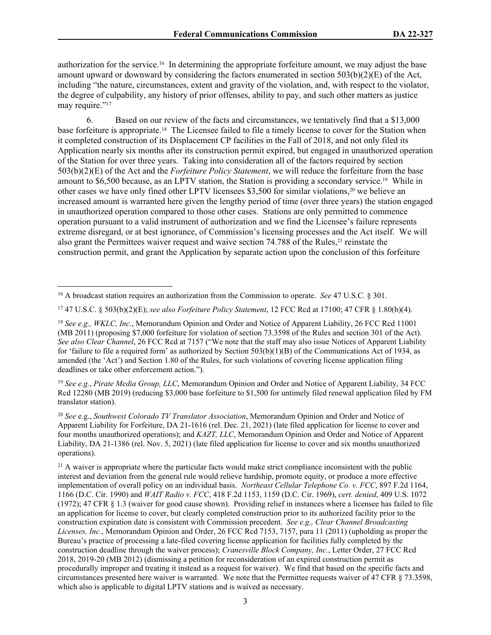authorization for the service.16 In determining the appropriate forfeiture amount, we may adjust the base amount upward or downward by considering the factors enumerated in section 503(b)(2)(E) of the Act, including "the nature, circumstances, extent and gravity of the violation, and, with respect to the violator, the degree of culpability, any history of prior offenses, ability to pay, and such other matters as justice may require."<sup>17</sup>

6. Based on our review of the facts and circumstances, we tentatively find that a \$13,000 base forfeiture is appropriate.18 The Licensee failed to file a timely license to cover for the Station when it completed construction of its Displacement CP facilities in the Fall of 2018, and not only filed its Application nearly six months after its construction permit expired, but engaged in unauthorized operation of the Station for over three years. Taking into consideration all of the factors required by section 503(b)(2)(E) of the Act and the *Forfeiture Policy Statement*, we will reduce the forfeiture from the base amount to \$6,500 because, as an LPTV station, the Station is providing a secondary service.19 While in other cases we have only fined other LPTV licensees \$3,500 for similar violations,<sup>20</sup> we believe an increased amount is warranted here given the lengthy period of time (over three years) the station engaged in unauthorized operation compared to those other cases. Stations are only permitted to commence operation pursuant to a valid instrument of authorization and we find the Licensee's failure represents extreme disregard, or at best ignorance, of Commission's licensing processes and the Act itself. We will also grant the Permittees waiver request and waive section 74.788 of the Rules,<sup>21</sup> reinstate the construction permit, and grant the Application by separate action upon the conclusion of this forfeiture

<sup>17</sup> 47 U.S.C. § 503(b)(2)(E); *see also Forfeiture Policy Statement*, 12 FCC Rcd at 17100; 47 CFR § 1.80(b)(4).

<sup>19</sup> *See e.g.*, *Pirate Media Group, LLC*, Memorandum Opinion and Order and Notice of Apparent Liability, 34 FCC Rcd 12280 (MB 2019) (reducing \$3,000 base forfeiture to \$1,500 for untimely filed renewal application filed by FM translator station).

<sup>20</sup> *See* e.g., *Southwest Colorado TV Translator Association*, Memorandum Opinion and Order and Notice of Apparent Liability for Forfeiture, DA 21-1616 (rel. Dec. 21, 2021) (late filed application for license to cover and four months unauthorized operations); and *KAZT, LLC*, Memorandum Opinion and Order and Notice of Apparent Liability, DA 21-1386 (rel. Nov. 5, 2021) (late filed application for license to cover and six months unauthorized operations).

<sup>21</sup> A waiver is appropriate where the particular facts would make strict compliance inconsistent with the public interest and deviation from the general rule would relieve hardship, promote equity, or produce a more effective implementation of overall policy on an individual basis. *Northeast Cellular Telephone Co. v. FCC*, 897 F.2d 1164, 1166 (D.C. Cir. 1990) and *WAIT Radio v. FCC*, 418 F.2d 1153, 1159 (D.C. Cir. 1969), *cert. denied*, 409 U.S. 1072 (1972); 47 CFR § 1.3 (waiver for good cause shown). Providing relief in instances where a licensee has failed to file an application for license to cover, but clearly completed construction prior to its authorized facility prior to the construction expiration date is consistent with Commission precedent. *See e.g., Clear Channel Broadcasting Licenses, Inc.*, Memorandum Opinion and Order, 26 FCC Rcd 7153, 7157, para 11 (2011) (upholding as proper the Bureau's practice of processing a late-filed covering license application for facilities fully completed by the construction deadline through the waiver process); *Cranesville Block Company, Inc.*, Letter Order, 27 FCC Rcd 2018, 2019-20 (MB 2012) (dismissing a petition for reconsideration of an expired construction permit as procedurally improper and treating it instead as a request for waiver). We find that based on the specific facts and circumstances presented here waiver is warranted. We note that the Permittee requests waiver of 47 CFR § 73.3598, which also is applicable to digital LPTV stations and is waived as necessary.

<sup>16</sup> A broadcast station requires an authorization from the Commission to operate. *See* 47 U.S.C. § 301.

<sup>18</sup> *See e.g., WKLC, Inc.*, Memorandum Opinion and Order and Notice of Apparent Liability, 26 FCC Rcd 11001 (MB 2011) (proposing \$7,000 forfeiture for violation of section 73.3598 of the Rules and section 301 of the Act). *See also Clear Channel*, 26 FCC Rcd at 7157 ("We note that the staff may also issue Notices of Apparent Liability for 'failure to file a required form' as authorized by Section 503(b)(1)(B) of the Communications Act of 1934, as amended (the 'Act') and Section 1.80 of the Rules, for such violations of covering license application filing deadlines or take other enforcement action.").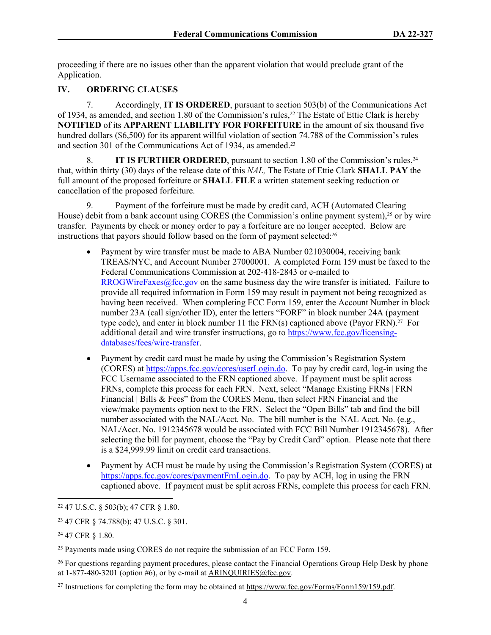proceeding if there are no issues other than the apparent violation that would preclude grant of the Application.

# **IV. ORDERING CLAUSES**

7. Accordingly, **IT IS ORDERED**, pursuant to section 503(b) of the Communications Act of 1934, as amended, and section 1.80 of the Commission's rules,22 The Estate of Ettie Clark is hereby **NOTIFIED** of its **APPARENT LIABILITY FOR FORFEITURE** in the amount of six thousand five hundred dollars (\$6,500) for its apparent willful violation of section 74.788 of the Commission's rules and section 301 of the Communications Act of 1934, as amended.<sup>23</sup>

8. **IT IS FURTHER ORDERED**, pursuant to section 1.80 of the Commission's rules,<sup>24</sup> that, within thirty (30) days of the release date of this *NAL,* The Estate of Ettie Clark **SHALL PAY** the full amount of the proposed forfeiture or **SHALL FILE** a written statement seeking reduction or cancellation of the proposed forfeiture.

9. Payment of the forfeiture must be made by credit card, ACH (Automated Clearing House) debit from a bank account using CORES (the Commission's online payment system),<sup>25</sup> or by wire transfer. Payments by check or money order to pay a forfeiture are no longer accepted. Below are instructions that payors should follow based on the form of payment selected:<sup>26</sup>

- Payment by wire transfer must be made to ABA Number 021030004, receiving bank TREAS/NYC, and Account Number 27000001. A completed Form 159 must be faxed to the Federal Communications Commission at 202-418-2843 or e-mailed to [RROGWireFaxes@fcc.gov](mailto:RROGWireFaxes@fcc.gov) on the same business day the wire transfer is initiated. Failure to provide all required information in Form 159 may result in payment not being recognized as having been received. When completing FCC Form 159, enter the Account Number in block number 23A (call sign/other ID), enter the letters "FORF" in block number 24A (payment type code), and enter in block number 11 the  $FRN(s)$  captioned above (Payor  $FRN$ ).<sup>27</sup> For additional detail and wire transfer instructions, go to [https://www.fcc.gov/licensing](https://www.fcc.gov/licensing-databases/fees/wire-transfer)[databases/fees/wire-transfer.](https://www.fcc.gov/licensing-databases/fees/wire-transfer)
- Payment by credit card must be made by using the Commission's Registration System (CORES) at<https://apps.fcc.gov/cores/userLogin.do>. To pay by credit card, log-in using the FCC Username associated to the FRN captioned above. If payment must be split across FRNs, complete this process for each FRN. Next, select "Manage Existing FRNs | FRN Financial | Bills & Fees" from the CORES Menu, then select FRN Financial and the view/make payments option next to the FRN. Select the "Open Bills" tab and find the bill number associated with the NAL/Acct. No. The bill number is the NAL Acct. No. (e.g., NAL/Acct. No. 1912345678 would be associated with FCC Bill Number 1912345678). After selecting the bill for payment, choose the "Pay by Credit Card" option. Please note that there is a \$24,999.99 limit on credit card transactions.
- Payment by ACH must be made by using the Commission's Registration System (CORES) at [https://apps.fcc.gov/cores/paymentFrnLogin.do.](https://apps.fcc.gov/cores/paymentFrnLogin.do) To pay by ACH, log in using the FRN captioned above. If payment must be split across FRNs, complete this process for each FRN.

<sup>26</sup> For questions regarding payment procedures, please contact the Financial Operations Group Help Desk by phone at  $1-877-480-3201$  (option #6), or by e-mail at  $ARINQUIRIES@$  fcc.gov.

<sup>22</sup> 47 U.S.C. § 503(b); 47 CFR § 1.80.

<sup>23</sup> 47 CFR § 74.788(b); 47 U.S.C. § 301.

<sup>24</sup> 47 CFR § 1.80.

<sup>&</sup>lt;sup>25</sup> Payments made using CORES do not require the submission of an FCC Form 159.

<sup>27</sup> Instructions for completing the form may be obtained at<https://www.fcc.gov/Forms/Form159/159.pdf>.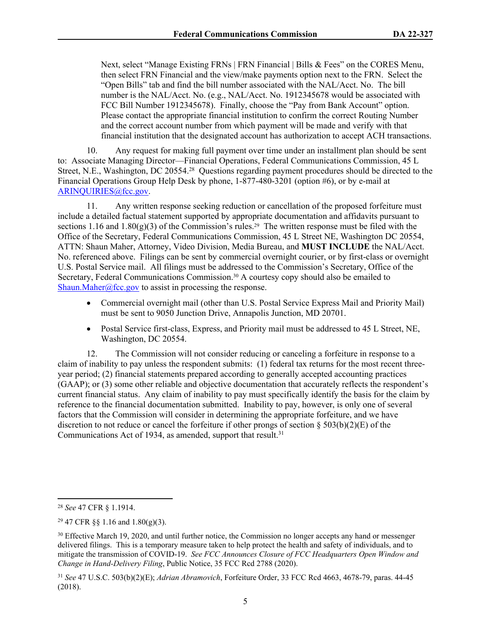Next, select "Manage Existing FRNs | FRN Financial | Bills & Fees" on the CORES Menu, then select FRN Financial and the view/make payments option next to the FRN. Select the "Open Bills" tab and find the bill number associated with the NAL/Acct. No. The bill number is the NAL/Acct. No. (e.g., NAL/Acct. No. 1912345678 would be associated with FCC Bill Number 1912345678). Finally, choose the "Pay from Bank Account" option. Please contact the appropriate financial institution to confirm the correct Routing Number and the correct account number from which payment will be made and verify with that financial institution that the designated account has authorization to accept ACH transactions.

10. Any request for making full payment over time under an installment plan should be sent to: Associate Managing Director—Financial Operations, Federal Communications Commission, 45 L Street, N.E., Washington, DC 20554.<sup>28</sup> Questions regarding payment procedures should be directed to the Financial Operations Group Help Desk by phone, 1-877-480-3201 (option #6), or by e-mail at [ARINQUIRIES@fcc.gov](mailto:ARINQUIRIES@fcc.gov).

11. Any written response seeking reduction or cancellation of the proposed forfeiture must include a detailed factual statement supported by appropriate documentation and affidavits pursuant to sections 1.16 and 1.80(g)(3) of the Commission's rules.<sup>29</sup> The written response must be filed with the Office of the Secretary, Federal Communications Commission, 45 L Street NE, Washington DC 20554, ATTN: Shaun Maher, Attorney, Video Division, Media Bureau, and **MUST INCLUDE** the NAL/Acct. No. referenced above. Filings can be sent by commercial overnight courier, or by first-class or overnight U.S. Postal Service mail. All filings must be addressed to the Commission's Secretary, Office of the Secretary, Federal Communications Commission.30 A courtesy copy should also be emailed to [Shaun.Maher@fcc.gov](mailto:Shaun.Maher@fcc.gov) to assist in processing the response.

- Commercial overnight mail (other than U.S. Postal Service Express Mail and Priority Mail) must be sent to 9050 Junction Drive, Annapolis Junction, MD 20701.
- Postal Service first-class, Express, and Priority mail must be addressed to 45 L Street, NE, Washington, DC 20554.

12. The Commission will not consider reducing or canceling a forfeiture in response to a claim of inability to pay unless the respondent submits: (1) federal tax returns for the most recent threeyear period; (2) financial statements prepared according to generally accepted accounting practices (GAAP); or (3) some other reliable and objective documentation that accurately reflects the respondent's current financial status. Any claim of inability to pay must specifically identify the basis for the claim by reference to the financial documentation submitted. Inability to pay, however, is only one of several factors that the Commission will consider in determining the appropriate forfeiture, and we have discretion to not reduce or cancel the forfeiture if other prongs of section  $\S 503(b)(2)(E)$  of the Communications Act of 1934, as amended, support that result.<sup>31</sup>

<sup>28</sup> *See* 47 CFR § 1.1914.

 $29$  47 CFR §§ 1.16 and 1.80(g)(3).

<sup>&</sup>lt;sup>30</sup> Effective March 19, 2020, and until further notice, the Commission no longer accepts any hand or messenger delivered filings. This is a temporary measure taken to help protect the health and safety of individuals, and to mitigate the transmission of COVID-19. *See FCC Announces Closure of FCC Headquarters Open Window and Change in Hand-Delivery Filing*, Public Notice, 35 FCC Rcd 2788 (2020).

<sup>31</sup> *See* 47 U.S.C. 503(b)(2)(E); *Adrian Abramovich*, Forfeiture Order, 33 FCC Rcd 4663, 4678-79, paras. 44-45 (2018).